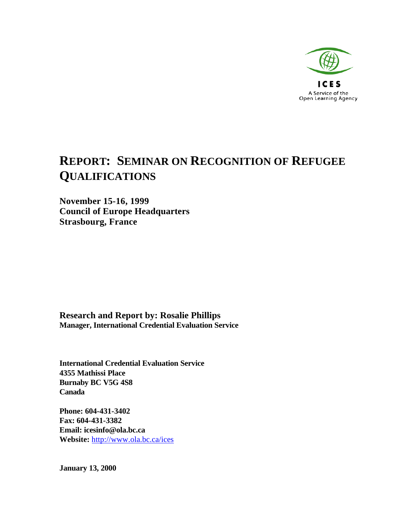

# **REPORT: SEMINAR ON RECOGNITION OF REFUGEE QUALIFICATIONS**

**November 15-16, 1999 Council of Europe Headquarters Strasbourg, France**

**Research and Report by: Rosalie Phillips Manager, International Credential Evaluation Service**

**International Credential Evaluation Service 4355 Mathissi Place Burnaby BC V5G 4S8 Canada**

**Phone: 604-431-3402 Fax: 604-431-3382 Email: icesinfo@ola.bc.ca Website:** http://www.ola.bc.ca/ices

**January 13, 2000**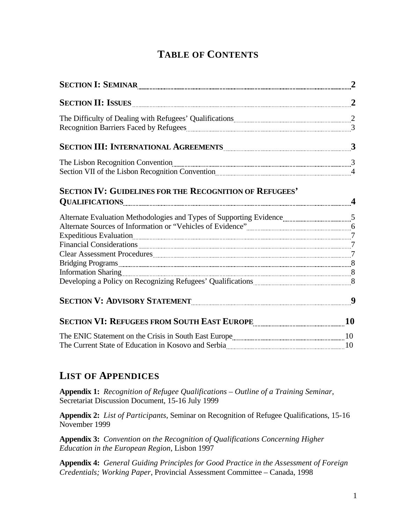# **TABLE OF CONTENTS**

| SECTION I: SEMINAR PERSONAL PRODUCTION ISSUE AND PERSONAL PRODUCTION ISSUED.                         |  |
|------------------------------------------------------------------------------------------------------|--|
|                                                                                                      |  |
|                                                                                                      |  |
|                                                                                                      |  |
| SECTION III: INTERNATIONAL AGREEMENTS <b>CONSERVERTS</b> 3                                           |  |
|                                                                                                      |  |
| Section VII of the Lisbon Recognition Convention Concerns and Alliance Assembly 4                    |  |
| SECTION IV: GUIDELINES FOR THE RECOGNITION OF REFUGEES'                                              |  |
| QUALIFICATIONS 4                                                                                     |  |
|                                                                                                      |  |
|                                                                                                      |  |
|                                                                                                      |  |
|                                                                                                      |  |
|                                                                                                      |  |
|                                                                                                      |  |
|                                                                                                      |  |
|                                                                                                      |  |
|                                                                                                      |  |
| SECTION VI: REFUGEES FROM SOUTH EAST EUROPE <b>with the contract of the CO</b> and the <sup>10</sup> |  |
|                                                                                                      |  |
|                                                                                                      |  |

## **LIST OF APPENDICES**

**Appendix 1:** *Recognition of Refugee Qualifications – Outline of a Training Seminar*, Secretariat Discussion Document, 15-16 July 1999

**Appendix 2:** *List of Participants*, Seminar on Recognition of Refugee Qualifications, 15-16 November 1999

**Appendix 3:** *Convention on the Recognition of Qualifications Concerning Higher Education in the European Region*, Lisbon 1997

**Appendix 4:** *General Guiding Principles for Good Practice in the Assessment of Foreign Credentials; Working Paper*, Provincial Assessment Committee – Canada, 1998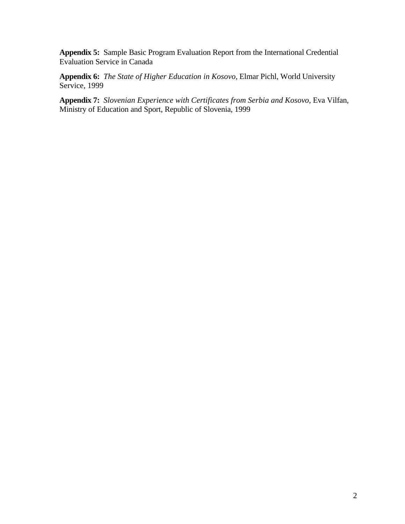**Appendix 5:**Sample Basic Program Evaluation Report from the International Credential Evaluation Service in Canada

**Appendix 6:** *The State of Higher Education in Kosovo*, Elmar Pichl, World University Service, 1999

**Appendix 7:** *Slovenian Experience with Certificates from Serbia and Kosovo*, Eva Vilfan, Ministry of Education and Sport, Republic of Slovenia, 1999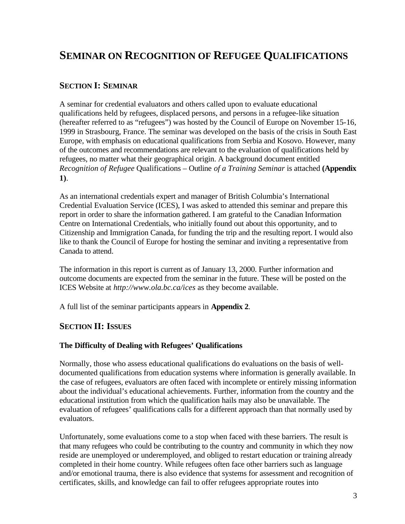# **SEMINAR ON RECOGNITION OF REFUGEE QUALIFICATIONS**

## **SECTION I: SEMINAR**

A seminar for credential evaluators and others called upon to evaluate educational qualifications held by refugees, displaced persons, and persons in a refugee-like situation (hereafter referred to as "refugees") was hosted by the Council of Europe on November 15-16, 1999 in Strasbourg, France. The seminar was developed on the basis of the crisis in South East Europe, with emphasis on educational qualifications from Serbia and Kosovo. However, many of the outcomes and recommendations are relevant to the evaluation of qualifications held by refugees, no matter what their geographical origin. A background document entitled *Recognition of Refugee* Qualifications – Outline *of a Training Seminar* is attached **(Appendix 1)**.

As an international credentials expert and manager of British Columbia's International Credential Evaluation Service (ICES), I was asked to attended this seminar and prepare this report in order to share the information gathered. I am grateful to the Canadian Information Centre on International Credentials, who initially found out about this opportunity, and to Citizenship and Immigration Canada, for funding the trip and the resulting report. I would also like to thank the Council of Europe for hosting the seminar and inviting a representative from Canada to attend.

The information in this report is current as of January 13, 2000. Further information and outcome documents are expected from the seminar in the future. These will be posted on the ICES Website at *http://www.ola.bc.ca/ices* as they become available.

A full list of the seminar participants appears in **Appendix 2**.

### **SECTION II: ISSUES**

#### **The Difficulty of Dealing with Refugees' Qualifications**

Normally, those who assess educational qualifications do evaluations on the basis of welldocumented qualifications from education systems where information is generally available. In the case of refugees, evaluators are often faced with incomplete or entirely missing information about the individual's educational achievements. Further, information from the country and the educational institution from which the qualification hails may also be unavailable. The evaluation of refugees' qualifications calls for a different approach than that normally used by evaluators.

Unfortunately, some evaluations come to a stop when faced with these barriers. The result is that many refugees who could be contributing to the country and community in which they now reside are unemployed or underemployed, and obliged to restart education or training already completed in their home country. While refugees often face other barriers such as language and/or emotional trauma, there is also evidence that systems for assessment and recognition of certificates, skills, and knowledge can fail to offer refugees appropriate routes into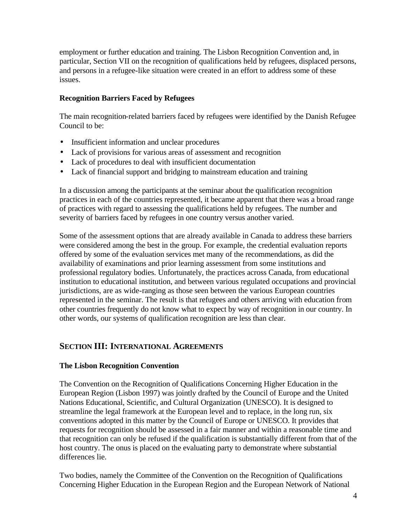employment or further education and training. The Lisbon Recognition Convention and, in particular, Section VII on the recognition of qualifications held by refugees, displaced persons, and persons in a refugee-like situation were created in an effort to address some of these issues.

## **Recognition Barriers Faced by Refugees**

The main recognition-related barriers faced by refugees were identified by the Danish Refugee Council to be:

- Insufficient information and unclear procedures
- Lack of provisions for various areas of assessment and recognition
- Lack of procedures to deal with insufficient documentation
- Lack of financial support and bridging to mainstream education and training

In a discussion among the participants at the seminar about the qualification recognition practices in each of the countries represented, it became apparent that there was a broad range of practices with regard to assessing the qualifications held by refugees. The number and severity of barriers faced by refugees in one country versus another varied.

Some of the assessment options that are already available in Canada to address these barriers were considered among the best in the group. For example, the credential evaluation reports offered by some of the evaluation services met many of the recommendations, as did the availability of examinations and prior learning assessment from some institutions and professional regulatory bodies. Unfortunately, the practices across Canada, from educational institution to educational institution, and between various regulated occupations and provincial jurisdictions, are as wide-ranging as those seen between the various European countries represented in the seminar. The result is that refugees and others arriving with education from other countries frequently do not know what to expect by way of recognition in our country. In other words, our systems of qualification recognition are less than clear.

## **SECTION III: INTERNATIONAL AGREEMENTS**

### **The Lisbon Recognition Convention**

The Convention on the Recognition of Qualifications Concerning Higher Education in the European Region (Lisbon 1997) was jointly drafted by the Council of Europe and the United Nations Educational, Scientific, and Cultural Organization (UNESCO). It is designed to streamline the legal framework at the European level and to replace, in the long run, six conventions adopted in this matter by the Council of Europe or UNESCO. It provides that requests for recognition should be assessed in a fair manner and within a reasonable time and that recognition can only be refused if the qualification is substantially different from that of the host country. The onus is placed on the evaluating party to demonstrate where substantial differences lie.

Two bodies, namely the Committee of the Convention on the Recognition of Qualifications Concerning Higher Education in the European Region and the European Network of National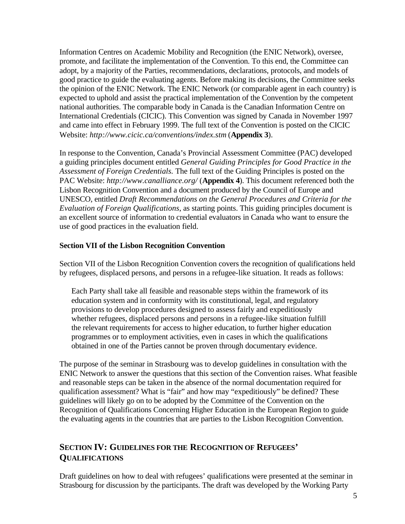Information Centres on Academic Mobility and Recognition (the ENIC Network), oversee, promote, and facilitate the implementation of the Convention. To this end, the Committee can adopt, by a majority of the Parties, recommendations, declarations, protocols, and models of good practice to guide the evaluating agents. Before making its decisions, the Committee seeks the opinion of the ENIC Network. The ENIC Network (or comparable agent in each country) is expected to uphold and assist the practical implementation of the Convention by the competent national authorities. The comparable body in Canada is the Canadian Information Centre on International Credentials (CICIC). This Convention was signed by Canada in November 1997 and came into effect in February 1999. The full text of the Convention is posted on the CICIC Website: *http://www.cicic.ca/conventions/index.stm* (**Appendix 3**).

In response to the Convention, Canada's Provincial Assessment Committee (PAC) developed a guiding principles document entitled *General Guiding Principles for Good Practice in the Assessment of Foreign Credentials.* The full text of the Guiding Principles is posted on the PAC Website: *http://www.canalliance.org/* (**Appendix 4**). This document referenced both the Lisbon Recognition Convention and a document produced by the Council of Europe and UNESCO, entitled *Draft Recommendations on the General Procedures and Criteria for the Evaluation of Foreign Qualifications*, as starting points. This guiding principles document is an excellent source of information to credential evaluators in Canada who want to ensure the use of good practices in the evaluation field.

#### **Section VII of the Lisbon Recognition Convention**

Section VII of the Lisbon Recognition Convention covers the recognition of qualifications held by refugees, displaced persons, and persons in a refugee-like situation. It reads as follows:

Each Party shall take all feasible and reasonable steps within the framework of its education system and in conformity with its constitutional, legal, and regulatory provisions to develop procedures designed to assess fairly and expeditiously whether refugees, displaced persons and persons in a refugee-like situation fulfill the relevant requirements for access to higher education, to further higher education programmes or to employment activities, even in cases in which the qualifications obtained in one of the Parties cannot be proven through documentary evidence.

The purpose of the seminar in Strasbourg was to develop guidelines in consultation with the ENIC Network to answer the questions that this section of the Convention raises. What feasible and reasonable steps can be taken in the absence of the normal documentation required for qualification assessment? What is "fair" and how may "expeditiously" be defined? These guidelines will likely go on to be adopted by the Committee of the Convention on the Recognition of Qualifications Concerning Higher Education in the European Region to guide the evaluating agents in the countries that are parties to the Lisbon Recognition Convention.

## **SECTION IV: GUIDELINES FOR THE RECOGNITION OF REFUGEES' QUALIFICATIONS**

Draft guidelines on how to deal with refugees' qualifications were presented at the seminar in Strasbourg for discussion by the participants. The draft was developed by the Working Party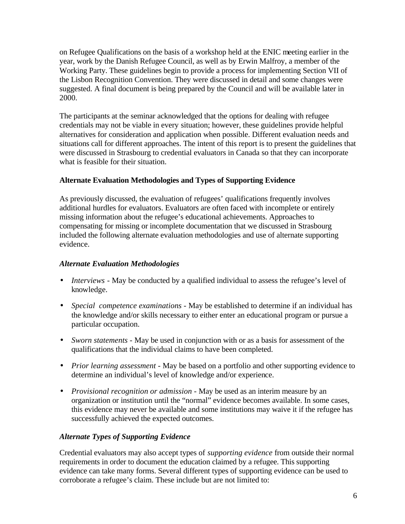on Refugee Qualifications on the basis of a workshop held at the ENIC meeting earlier in the year, work by the Danish Refugee Council, as well as by Erwin Malfroy, a member of the Working Party. These guidelines begin to provide a process for implementing Section VII of the Lisbon Recognition Convention. They were discussed in detail and some changes were suggested. A final document is being prepared by the Council and will be available later in 2000.

The participants at the seminar acknowledged that the options for dealing with refugee credentials may not be viable in every situation; however, these guidelines provide helpful alternatives for consideration and application when possible. Different evaluation needs and situations call for different approaches. The intent of this report is to present the guidelines that were discussed in Strasbourg to credential evaluators in Canada so that they can incorporate what is feasible for their situation.

## **Alternate Evaluation Methodologies and Types of Supporting Evidence**

As previously discussed, the evaluation of refugees' qualifications frequently involves additional hurdles for evaluators. Evaluators are often faced with incomplete or entirely missing information about the refugee's educational achievements. Approaches to compensating for missing or incomplete documentation that we discussed in Strasbourg included the following alternate evaluation methodologies and use of alternate supporting evidence.

## *Alternate Evaluation Methodologies*

- *Interviews* May be conducted by a qualified individual to assess the refugee's level of knowledge.
- *Special competence examinations* May be established to determine if an individual has the knowledge and/or skills necessary to either enter an educational program or pursue a particular occupation.
- *Sworn statements* May be used in conjunction with or as a basis for assessment of the qualifications that the individual claims to have been completed.
- *Prior learning assessment* May be based on a portfolio and other supporting evidence to determine an individual's level of knowledge and/or experience.
- *Provisional recognition or admission* May be used as an interim measure by an organization or institution until the "normal" evidence becomes available. In some cases, this evidence may never be available and some institutions may waive it if the refugee has successfully achieved the expected outcomes.

## *Alternate Types of Supporting Evidence*

Credential evaluators may also accept types of *supporting evidence* from outside their normal requirements in order to document the education claimed by a refugee. This supporting evidence can take many forms. Several different types of supporting evidence can be used to corroborate a refugee's claim. These include but are not limited to: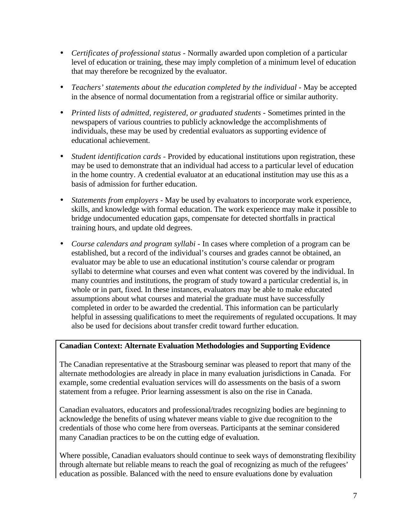- *Certificates of professional status* Normally awarded upon completion of a particular level of education or training, these may imply completion of a minimum level of education that may therefore be recognized by the evaluator.
- *Teachers' statements about the education completed by the individual* May be accepted in the absence of normal documentation from a registrarial office or similar authority.
- *Printed lists of admitted, registered, or graduated students* Sometimes printed in the newspapers of various countries to publicly acknowledge the accomplishments of individuals, these may be used by credential evaluators as supporting evidence of educational achievement.
- *Student identification cards* Provided by educational institutions upon registration, these may be used to demonstrate that an individual had access to a particular level of education in the home country. A credential evaluator at an educational institution may use this as a basis of admission for further education.
- *Statements from employers* May be used by evaluators to incorporate work experience, skills, and knowledge with formal education. The work experience may make it possible to bridge undocumented education gaps, compensate for detected shortfalls in practical training hours, and update old degrees.
- *Course calendars and program syllabi* In cases where completion of a program can be established, but a record of the individual's courses and grades cannot be obtained, an evaluator may be able to use an educational institution's course calendar or program syllabi to determine what courses and even what content was covered by the individual. In many countries and institutions, the program of study toward a particular credential is, in whole or in part, fixed. In these instances, evaluators may be able to make educated assumptions about what courses and material the graduate must have successfully completed in order to be awarded the credential. This information can be particularly helpful in assessing qualifications to meet the requirements of regulated occupations. It may also be used for decisions about transfer credit toward further education.

### **Canadian Context: Alternate Evaluation Methodologies and Supporting Evidence**

The Canadian representative at the Strasbourg seminar was pleased to report that many of the alternate methodologies are already in place in many evaluation jurisdictions in Canada. For example, some credential evaluation services will do assessments on the basis of a sworn statement from a refugee. Prior learning assessment is also on the rise in Canada.

Canadian evaluators, educators and professional/trades recognizing bodies are beginning to acknowledge the benefits of using whatever means viable to give due recognition to the credentials of those who come here from overseas. Participants at the seminar considered many Canadian practices to be on the cutting edge of evaluation.

Where possible, Canadian evaluators should continue to seek ways of demonstrating flexibility through alternate but reliable means to reach the goal of recognizing as much of the refugees' education as possible. Balanced with the need to ensure evaluations done by evaluation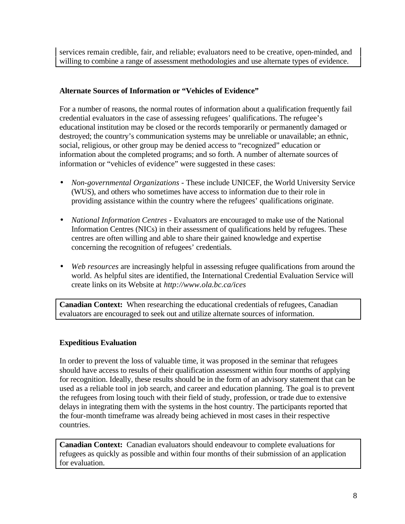services remain credible, fair, and reliable; evaluators need to be creative, open-minded, and willing to combine a range of assessment methodologies and use alternate types of evidence.

## **Alternate Sources of Information or "Vehicles of Evidence"**

For a number of reasons, the normal routes of information about a qualification frequently fail credential evaluators in the case of assessing refugees' qualifications. The refugee's educational institution may be closed or the records temporarily or permanently damaged or destroyed; the country's communication systems may be unreliable or unavailable; an ethnic, social, religious, or other group may be denied access to "recognized" education or information about the completed programs; and so forth. A number of alternate sources of information or "vehicles of evidence" were suggested in these cases:

- *Non-governmental Organizations* These include UNICEF, the World University Service (WUS), and others who sometimes have access to information due to their role in providing assistance within the country where the refugees' qualifications originate.
- *National Information Centres*  Evaluators are encouraged to make use of the National Information Centres (NICs) in their assessment of qualifications held by refugees. These centres are often willing and able to share their gained knowledge and expertise concerning the recognition of refugees' credentials.
- *Web resources* are increasingly helpful in assessing refugee qualifications from around the world. As helpful sites are identified, the International Credential Evaluation Service will create links on its Website at *http://www.ola.bc.ca/ices*

**Canadian Context:** When researching the educational credentials of refugees, Canadian evaluators are encouraged to seek out and utilize alternate sources of information.

## **Expeditious Evaluation**

In order to prevent the loss of valuable time, it was proposed in the seminar that refugees should have access to results of their qualification assessment within four months of applying for recognition. Ideally, these results should be in the form of an advisory statement that can be used as a reliable tool in job search, and career and education planning. The goal is to prevent the refugees from losing touch with their field of study, profession, or trade due to extensive delays in integrating them with the systems in the host country. The participants reported that the four-month timeframe was already being achieved in most cases in their respective countries.

**Canadian Context:** Canadian evaluators should endeavour to complete evaluations for refugees as quickly as possible and within four months of their submission of an application for evaluation.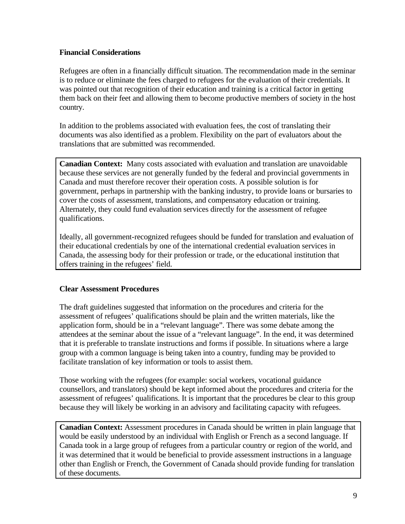### **Financial Considerations**

Refugees are often in a financially difficult situation. The recommendation made in the seminar is to reduce or eliminate the fees charged to refugees for the evaluation of their credentials. It was pointed out that recognition of their education and training is a critical factor in getting them back on their feet and allowing them to become productive members of society in the host country.

In addition to the problems associated with evaluation fees, the cost of translating their documents was also identified as a problem. Flexibility on the part of evaluators about the translations that are submitted was recommended.

**Canadian Context:** Many costs associated with evaluation and translation are unavoidable because these services are not generally funded by the federal and provincial governments in Canada and must therefore recover their operation costs. A possible solution is for government, perhaps in partnership with the banking industry, to provide loans or bursaries to cover the costs of assessment, translations, and compensatory education or training. Alternately, they could fund evaluation services directly for the assessment of refugee qualifications.

Ideally, all government-recognized refugees should be funded for translation and evaluation of their educational credentials by one of the international credential evaluation services in Canada, the assessing body for their profession or trade, or the educational institution that offers training in the refugees' field.

### **Clear Assessment Procedures**

The draft guidelines suggested that information on the procedures and criteria for the assessment of refugees' qualifications should be plain and the written materials, like the application form, should be in a "relevant language". There was some debate among the attendees at the seminar about the issue of a "relevant language". In the end, it was determined that it is preferable to translate instructions and forms if possible. In situations where a large group with a common language is being taken into a country, funding may be provided to facilitate translation of key information or tools to assist them.

Those working with the refugees (for example: social workers, vocational guidance counsellors, and translators) should be kept informed about the procedures and criteria for the assessment of refugees' qualifications. It is important that the procedures be clear to this group because they will likely be working in an advisory and facilitating capacity with refugees.

**Canadian Context:** Assessment procedures in Canada should be written in plain language that would be easily understood by an individual with English or French as a second language. If Canada took in a large group of refugees from a particular country or region of the world, and it was determined that it would be beneficial to provide assessment instructions in a language other than English or French, the Government of Canada should provide funding for translation of these documents.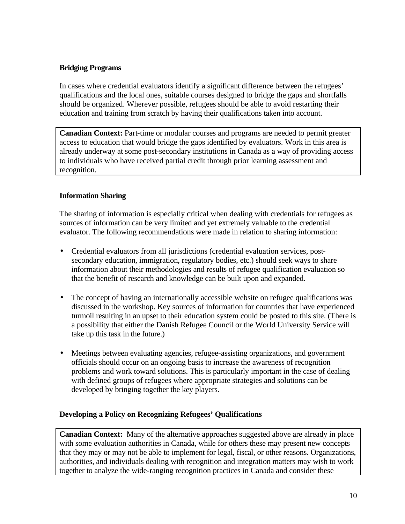### **Bridging Programs**

In cases where credential evaluators identify a significant difference between the refugees' qualifications and the local ones, suitable courses designed to bridge the gaps and shortfalls should be organized. Wherever possible, refugees should be able to avoid restarting their education and training from scratch by having their qualifications taken into account.

**Canadian Context:** Part-time or modular courses and programs are needed to permit greater access to education that would bridge the gaps identified by evaluators. Work in this area is already underway at some post-secondary institutions in Canada as a way of providing access to individuals who have received partial credit through prior learning assessment and recognition.

#### **Information Sharing**

The sharing of information is especially critical when dealing with credentials for refugees as sources of information can be very limited and yet extremely valuable to the credential evaluator. The following recommendations were made in relation to sharing information:

- Credential evaluators from all jurisdictions (credential evaluation services, postsecondary education, immigration, regulatory bodies, etc.) should seek ways to share information about their methodologies and results of refugee qualification evaluation so that the benefit of research and knowledge can be built upon and expanded.
- The concept of having an internationally accessible website on refugee qualifications was discussed in the workshop. Key sources of information for countries that have experienced turmoil resulting in an upset to their education system could be posted to this site. (There is a possibility that either the Danish Refugee Council or the World University Service will take up this task in the future.)
- Meetings between evaluating agencies, refugee-assisting organizations, and government officials should occur on an ongoing basis to increase the awareness of recognition problems and work toward solutions. This is particularly important in the case of dealing with defined groups of refugees where appropriate strategies and solutions can be developed by bringing together the key players.

#### **Developing a Policy on Recognizing Refugees' Qualifications**

**Canadian Context:** Many of the alternative approaches suggested above are already in place with some evaluation authorities in Canada, while for others these may present new concepts that they may or may not be able to implement for legal, fiscal, or other reasons. Organizations, authorities, and individuals dealing with recognition and integration matters may wish to work together to analyze the wide-ranging recognition practices in Canada and consider these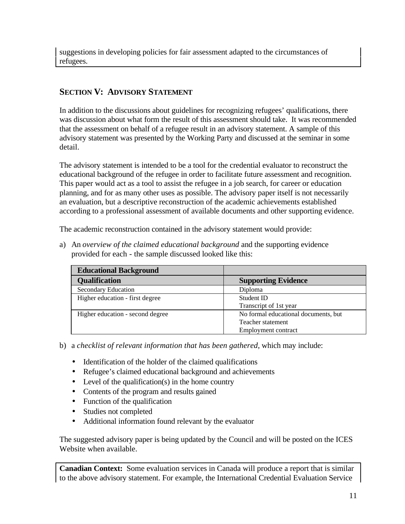suggestions in developing policies for fair assessment adapted to the circumstances of refugees.

# **SECTION V: ADVISORY STATEMENT**

In addition to the discussions about guidelines for recognizing refugees' qualifications, there was discussion about what form the result of this assessment should take. It was recommended that the assessment on behalf of a refugee result in an advisory statement. A sample of this advisory statement was presented by the Working Party and discussed at the seminar in some detail.

The advisory statement is intended to be a tool for the credential evaluator to reconstruct the educational background of the refugee in order to facilitate future assessment and recognition. This paper would act as a tool to assist the refugee in a job search, for career or education planning, and for as many other uses as possible. The advisory paper itself is not necessarily an evaluation, but a descriptive reconstruction of the academic achievements established according to a professional assessment of available documents and other supporting evidence.

The academic reconstruction contained in the advisory statement would provide:

a) An *overview of the claimed educational background* and the supporting evidence provided for each - the sample discussed looked like this:

| <b>Educational Background</b>    |                                      |
|----------------------------------|--------------------------------------|
| <b>Qualification</b>             | <b>Supporting Evidence</b>           |
| <b>Secondary Education</b>       | Diploma                              |
| Higher education - first degree  | Student ID                           |
|                                  | Transcript of 1st year               |
| Higher education - second degree | No formal educational documents, but |
|                                  | Teacher statement                    |
|                                  | <b>Employment contract</b>           |

b) a *checklist of relevant information that has been gathered*, which may include:

- Identification of the holder of the claimed qualifications
- Refugee's claimed educational background and achievements
- Level of the qualification(s) in the home country
- Contents of the program and results gained
- Function of the qualification
- Studies not completed
- Additional information found relevant by the evaluator

The suggested advisory paper is being updated by the Council and will be posted on the ICES Website when available.

**Canadian Context:** Some evaluation services in Canada will produce a report that is similar to the above advisory statement. For example, the International Credential Evaluation Service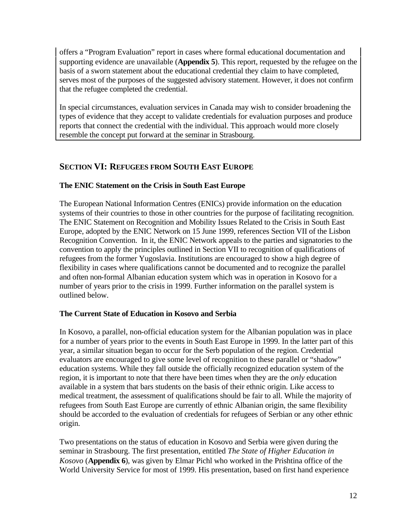offers a "Program Evaluation" report in cases where formal educational documentation and supporting evidence are unavailable (**Appendix 5**). This report, requested by the refugee on the basis of a sworn statement about the educational credential they claim to have completed, serves most of the purposes of the suggested advisory statement. However, it does not confirm that the refugee completed the credential.

In special circumstances, evaluation services in Canada may wish to consider broadening the types of evidence that they accept to validate credentials for evaluation purposes and produce reports that connect the credential with the individual. This approach would more closely resemble the concept put forward at the seminar in Strasbourg.

## **SECTION VI: REFUGEES FROM SOUTH EAST EUROPE**

## **The ENIC Statement on the Crisis in South East Europe**

The European National Information Centres (ENICs) provide information on the education systems of their countries to those in other countries for the purpose of facilitating recognition. The ENIC Statement on Recognition and Mobility Issues Related to the Crisis in South East Europe, adopted by the ENIC Network on 15 June 1999, references Section VII of the Lisbon Recognition Convention. In it, the ENIC Network appeals to the parties and signatories to the convention to apply the principles outlined in Section VII to recognition of qualifications of refugees from the former Yugoslavia. Institutions are encouraged to show a high degree of flexibility in cases where qualifications cannot be documented and to recognize the parallel and often non-formal Albanian education system which was in operation in Kosovo for a number of years prior to the crisis in 1999. Further information on the parallel system is outlined below.

## **The Current State of Education in Kosovo and Serbia**

In Kosovo, a parallel, non-official education system for the Albanian population was in place for a number of years prior to the events in South East Europe in 1999. In the latter part of this year, a similar situation began to occur for the Serb population of the region. Credential evaluators are encouraged to give some level of recognition to these parallel or "shadow" education systems. While they fall outside the officially recognized education system of the region, it is important to note that there have been times when they are the *only* education available in a system that bars students on the basis of their ethnic origin. Like access to medical treatment, the assessment of qualifications should be fair to all. While the majority of refugees from South East Europe are currently of ethnic Albanian origin, the same flexibility should be accorded to the evaluation of credentials for refugees of Serbian or any other ethnic origin.

Two presentations on the status of education in Kosovo and Serbia were given during the seminar in Strasbourg. The first presentation, entitled *The State of Higher Education in Kosovo* (**Appendix 6**), was given by Elmar Pichl who worked in the Prishtina office of the World University Service for most of 1999. His presentation, based on first hand experience